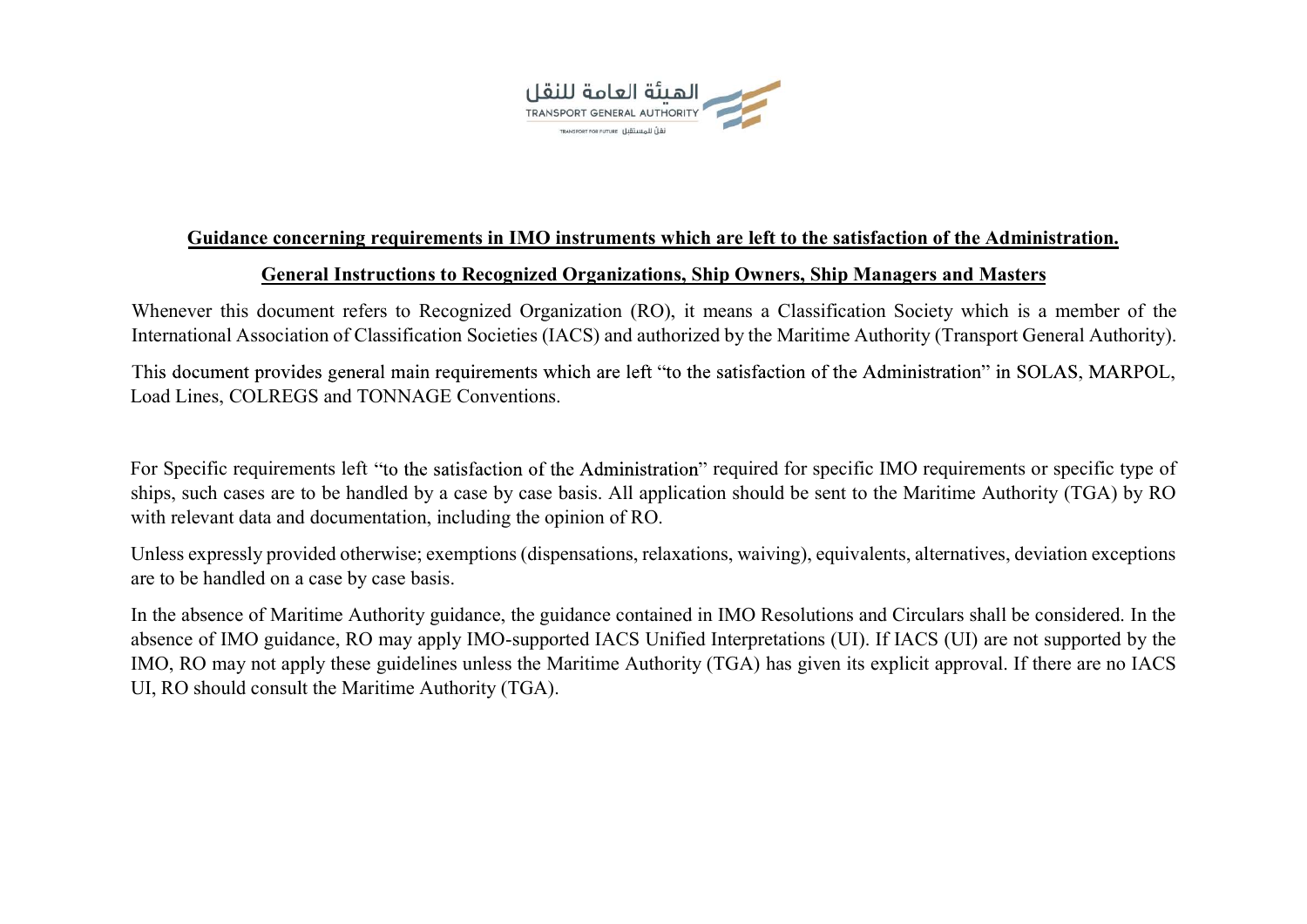

## Guidance concerning requirements in IMO instruments which are left to the satisfaction of the Administration. General Instructions to Recognized Organizations, Ship Owners, Ship Managers and Masters

Whenever this document refers to Recognized Organization (RO), it means a Classification Society which is a member of the<br>International Association of Classification Societies (IACS) and authorized by the Maritime Authorit